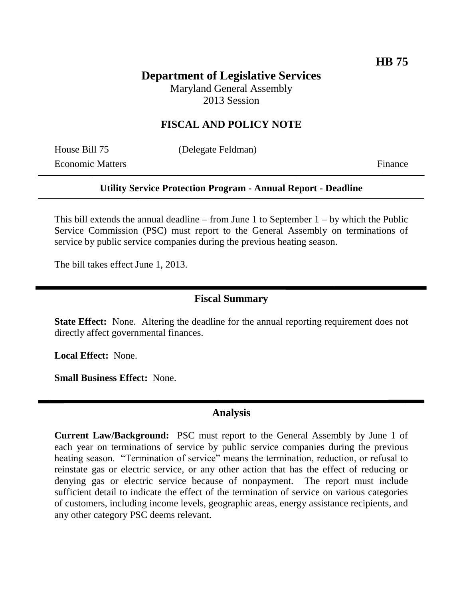# **Department of Legislative Services**

Maryland General Assembly 2013 Session

## **FISCAL AND POLICY NOTE**

Economic Matters Finance

House Bill 75 (Delegate Feldman)

### **Utility Service Protection Program - Annual Report - Deadline**

This bill extends the annual deadline – from June 1 to September  $1 - by$  which the Public Service Commission (PSC) must report to the General Assembly on terminations of service by public service companies during the previous heating season.

The bill takes effect June 1, 2013.

## **Fiscal Summary**

**State Effect:** None. Altering the deadline for the annual reporting requirement does not directly affect governmental finances.

**Local Effect:** None.

**Small Business Effect:** None.

#### **Analysis**

**Current Law/Background:** PSC must report to the General Assembly by June 1 of each year on terminations of service by public service companies during the previous heating season. "Termination of service" means the termination, reduction, or refusal to reinstate gas or electric service, or any other action that has the effect of reducing or denying gas or electric service because of nonpayment. The report must include sufficient detail to indicate the effect of the termination of service on various categories of customers, including income levels, geographic areas, energy assistance recipients, and any other category PSC deems relevant.